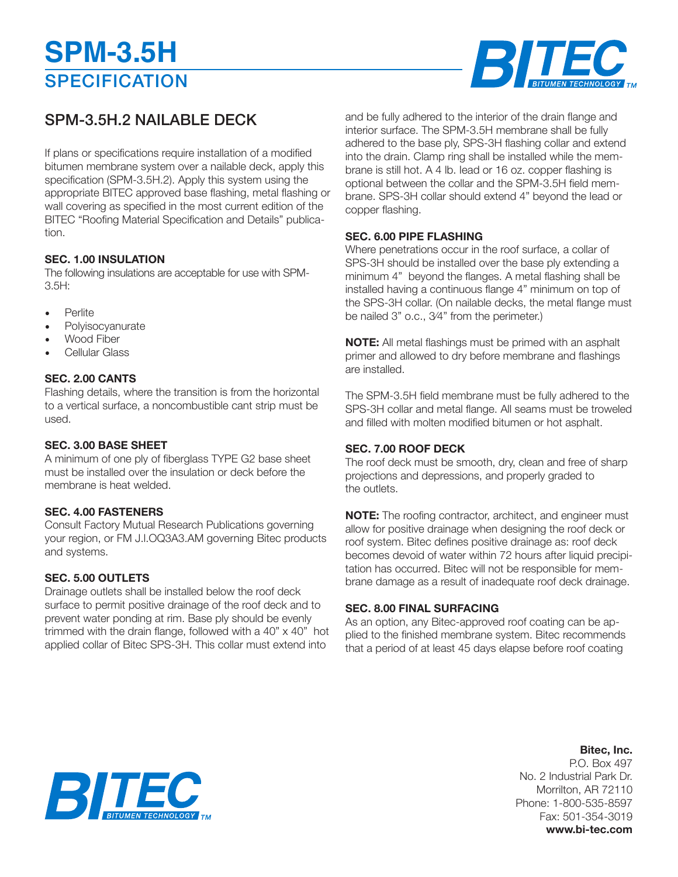# **SPECIFICATION SPM-3.5H**



### SPM-3.5H.2 NAILABLE DECK

If plans or specifications require installation of a modified bitumen membrane system over a nailable deck, apply this specification (SPM-3.5H.2). Apply this system using the appropriate BITEC approved base flashing, metal flashing or wall covering as specified in the most current edition of the BITEC "Roofing Material Specification and Details" publication.

#### **SEC. 1.00 INSULATION**

The following insulations are acceptable for use with SPM-3.5H:

- **Perlite**
- **Polyisocyanurate**
- Wood Fiber
- Cellular Glass

#### **SEC. 2.00 CANTS**

Flashing details, where the transition is from the horizontal to a vertical surface, a noncombustible cant strip must be used.

#### **SEC. 3.00 BASE SHEET**

A minimum of one ply of fiberglass TYPE G2 base sheet must be installed over the insulation or deck before the membrane is heat welded.

#### **SEC. 4.00 FASTENERS**

Consult Factory Mutual Research Publications governing your region, or FM J.l.OQ3A3.AM governing Bitec products and systems.

#### **SEC. 5.00 OUTLETS**

Drainage outlets shall be installed below the roof deck surface to permit positive drainage of the roof deck and to prevent water ponding at rim. Base ply should be evenly trimmed with the drain flange, followed with a 40" x 40" hot applied collar of Bitec SPS-3H. This collar must extend into

and be fully adhered to the interior of the drain flange and interior surface. The SPM-3.5H membrane shall be fully adhered to the base ply, SPS-3H flashing collar and extend into the drain. Clamp ring shall be installed while the membrane is still hot. A 4 lb. Iead or 16 oz. copper flashing is optional between the collar and the SPM-3.5H field membrane. SPS-3H collar should extend 4" beyond the lead or copper flashing.

#### **SEC. 6.00 PIPE FLASHING**

Where penetrations occur in the roof surface, a collar of SPS-3H should be installed over the base ply extending a minimum 4" beyond the flanges. A metal flashing shall be installed having a continuous flange 4" minimum on top of the SPS-3H collar. (On nailable decks, the metal flange must be nailed 3" o.c., 3⁄4" from the perimeter.)

**NOTE:** All metal flashings must be primed with an asphalt primer and allowed to dry before membrane and flashings are installed.

The SPM-3.5H field membrane must be fully adhered to the SPS-3H collar and metal flange. All seams must be troweled and filled with molten modified bitumen or hot asphalt.

#### **SEC. 7.00 ROOF DECK**

The roof deck must be smooth, dry, clean and free of sharp projections and depressions, and properly graded to the outlets.

**NOTE:** The roofing contractor, architect, and engineer must allow for positive drainage when designing the roof deck or roof system. Bitec defines positive drainage as: roof deck becomes devoid of water within 72 hours after liquid precipitation has occurred. Bitec will not be responsible for membrane damage as a result of inadequate roof deck drainage.

#### **SEC. 8.00 FINAL SURFACING**

As an option, any Bitec-approved roof coating can be applied to the finished membrane system. Bitec recommends that a period of at least 45 days elapse before roof coating

### **Bitec, Inc.**

P.O. Box 497 No. 2 Industrial Park Dr. Morrilton, AR 72110 Phone: 1-800-535-8597 Fax: 501-354-3019 **www.bi-tec.com**